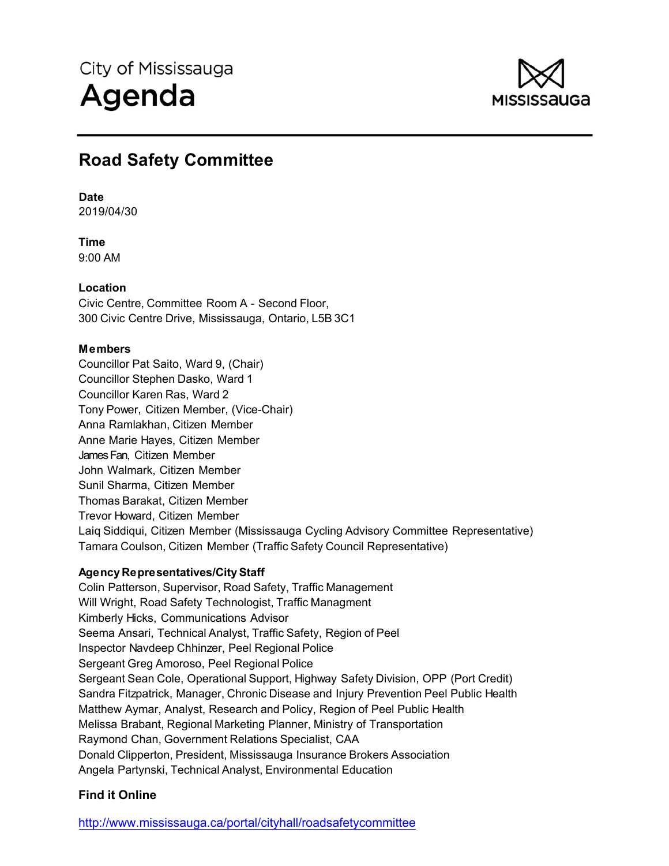

# **Road Safety Committee**

# **Date**

2019/04/30

**Time**  9:00 AM

# **Location**

Civic Centre, Committee Room A - Second Floor, 300 Civic Centre Drive, Mississauga, Ontario, L5B 3C1

# **Members**

Councillor Pat Saito, Ward 9, (Chair) Councillor Stephen Dasko, Ward 1 Councillor Karen Ras, Ward 2 Tony Power, Citizen Member, (Vice-Chair) Anna Ramlakhan, Citizen Member Anne Marie Hayes, Citizen Member James Fan, Citizen Member John Walmark, Citizen Member Sunil Sharma, Citizen Member Thomas Barakat, Citizen Member Trevor Howard, Citizen Member Laiq Siddiqui, Citizen Member (Mississauga Cycling Advisory Committee Representative) Tamara Coulson, Citizen Member (Traffic Safety Council Representative)

# **Agency Representatives/City Staff**

Colin Patterson, Supervisor, Road Safety, Traffic Management Will Wright, Road Safety Technologist, Traffic Managment Kimberly Hicks, Communications Advisor Seema Ansari, Technical Analyst, Traffic Safety, Region of Peel Inspector Navdeep Chhinzer, Peel Regional Police Sergeant Greg Amoroso, Peel Regional Police Sergeant Sean Cole, Operational Support, Highway Safety Division, OPP (Port Credit) Sandra Fitzpatrick, Manager, Chronic Disease and Injury Prevention Peel Public Health Matthew Aymar, Analyst, Research and Policy, Region of Peel Public Health Melissa Brabant, Regional Marketing Planner, Ministry of Transportation Raymond Chan, Government Relations Specialist, CAA Donald Clipperton, President, Mississauga Insurance Brokers Association Angela Partynski, Technical Analyst, Environmental Education

# **Find it Online**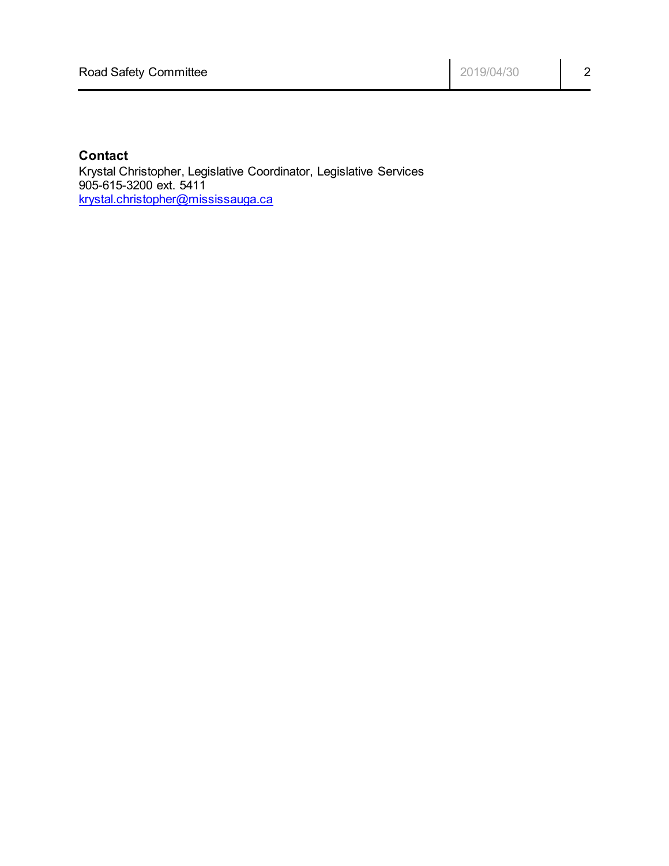# **Contact**

Krystal Christopher, Legislative Coordinator, Legislative Services 905-615-3200 ext. 5411 krystal.christopher@mississauga.ca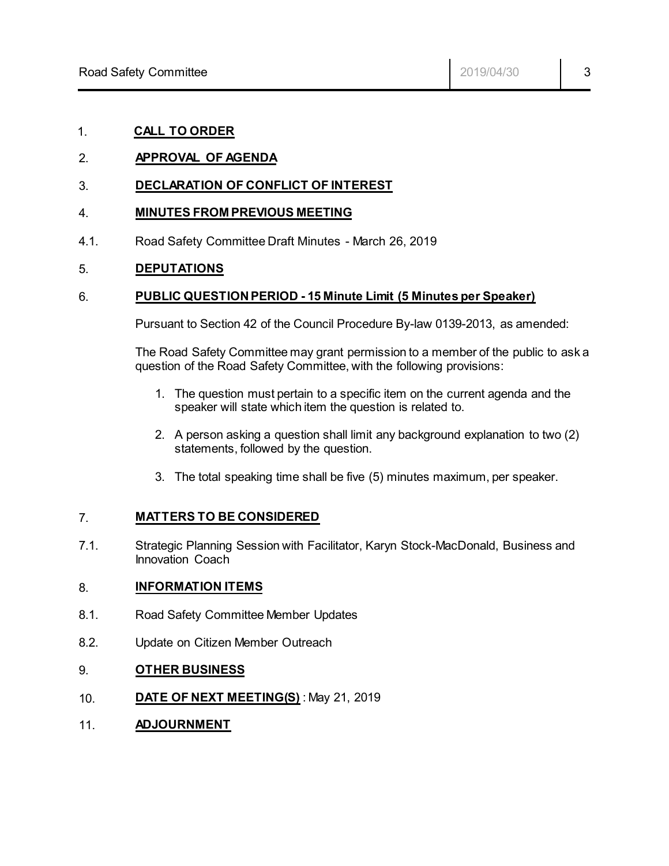# 1. **CALL TO ORDER**

# 2. **APPROVAL OF AGENDA**

# 3. **DECLARATION OF CONFLICT OF INTEREST**

#### 4. **MINUTES FROM PREVIOUS MEETING**

4.1. Road Safety Committee Draft Minutes - March 26, 2019

# 5. **DEPUTATIONS**

#### 6. **PUBLIC QUESTION PERIOD - 15 Minute Limit (5 Minutes per Speaker)**

Pursuant to Section 42 of the Council Procedure By-law 0139-2013, as amended:

The Road Safety Committee may grant permission to a member of the public to ask a question of the Road Safety Committee, with the following provisions:

- 1. The question must pertain to a specific item on the current agenda and the speaker will state which item the question is related to.
- 2. A person asking a question shall limit any background explanation to two (2) statements, followed by the question.
- 3. The total speaking time shall be five (5) minutes maximum, per speaker.

#### 7. **MATTERS TO BE CONSIDERED**

7.1. Strategic Planning Session with Facilitator, Karyn Stock-MacDonald, Business and Innovation Coach

#### 8. **INFORMATION ITEMS**

- 8.1. Road Safety Committee Member Updates
- 8.2. Update on Citizen Member Outreach

#### 9. **OTHER BUSINESS**

- 10. **DATE OF NEXT MEETING(S)** : May 21, 2019
- 11. **ADJOURNMENT**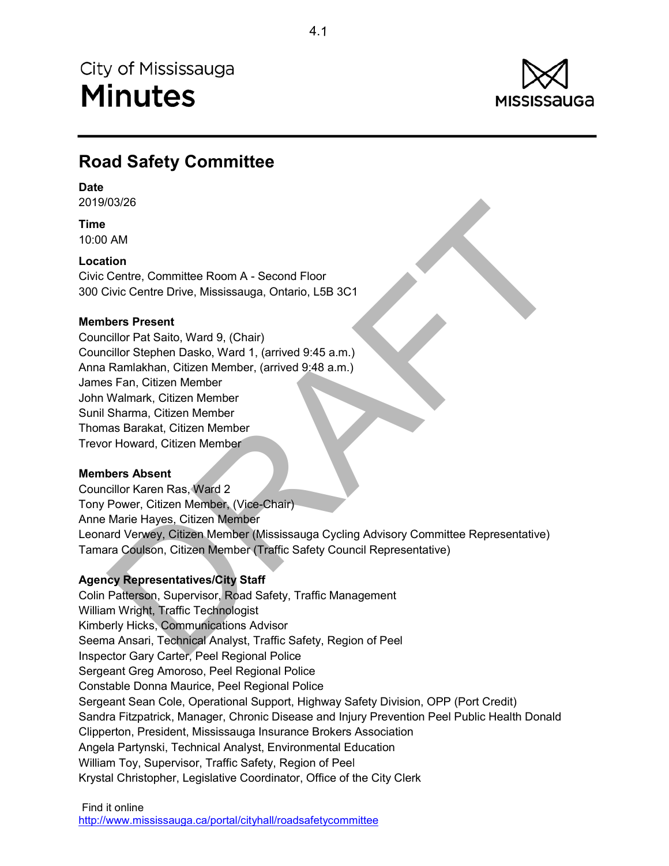

# **Road Safety Committee**

### **Date**

2019/03/26

**Time** 10:00 AM

# **Location**

Civic Centre, Committee Room A - Second Floor 300 Civic Centre Drive, Mississauga, Ontario, L5B 3C1

# **Members Present**

Councillor Pat Saito, Ward 9, (Chair) Councillor Stephen Dasko, Ward 1, (arrived 9:45 a.m.) Anna Ramlakhan, Citizen Member, (arrived 9:48 a.m.) James Fan, Citizen Member John Walmark, Citizen Member Sunil Sharma, Citizen Member Thomas Barakat, Citizen Member Trevor Howard, Citizen Member

# **Members Absent**

03/26<br>
MAM<br>
Idion<br>
Centre, Committee Room A - Second Floor<br>
Civic Centre Drive, Mississauga, Ontario, L5B 3C1<br>
Diction Stephen Dasko, Ward 1, (amived 9:45 a.m.)<br>
Familakhan, Citizen Member<br>
Sam, Citizen Member<br>
Shamak, Cit Councillor Karen Ras, Ward 2 Tony Power, Citizen Member, (Vice-Chair) Anne Marie Hayes, Citizen Member Leonard Verwey, Citizen Member (Mississauga Cycling Advisory Committee Representative) Tamara Coulson, Citizen Member (Traffic Safety Council Representative)

# **Agency Representatives/City Staff**

Colin Patterson, Supervisor, Road Safety, Traffic Management William Wright, Traffic Technologist Kimberly Hicks, Communications Advisor Seema Ansari, Technical Analyst, Traffic Safety, Region of Peel Inspector Gary Carter, Peel Regional Police Sergeant Greg Amoroso, Peel Regional Police Constable Donna Maurice, Peel Regional Police Sergeant Sean Cole, Operational Support, Highway Safety Division, OPP (Port Credit) Sandra Fitzpatrick, Manager, Chronic Disease and Injury Prevention Peel Public Health Donald Clipperton, President, Mississauga Insurance Brokers Association Angela Partynski, Technical Analyst, Environmental Education William Toy, Supervisor, Traffic Safety, Region of Peel Krystal Christopher, Legislative Coordinator, Office of the City Clerk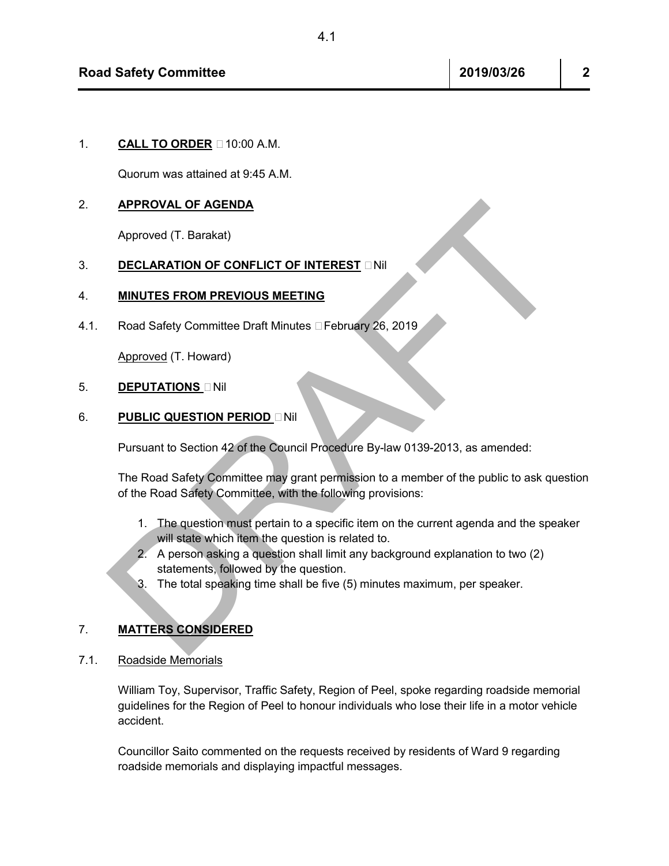1. **CALL TO ORDER**  $\Box$  10:00 A.M.

Quorum was attained at 9:45 A.M.

### 2. **APPROVAL OF AGENDA**

Approved (T. Barakat)

# **3. DECLARATION OF CONFLICT OF INTEREST INIL**

#### 4. **MINUTES FROM PREVIOUS MEETING**

4.1. Road Safety Committee Draft Minutes DFebruary 26, 2019

Approved (T. Howard)

# 5. **DEPUTATIONS DNil**

# 6. **PUBLIC QUESTION PERIOD** – Nil

Pursuant to Section 42 of the Council Procedure By-law 0139-2013, as amended:

APPROVAL OF AGENDA<br>
DECLARATION OF CONFLICT OF INTEREST DNI<br>
MINUTES FROM PREVIOUS MEETING<br>
Road Safety Committee Draft Minutes DFebruary 26, 2019<br>
Approved (T. Howard)<br>
DEPUTATIONS DNI<br>
PUBLIC QUESTION PERIOD DNI<br>
PUTS TH The Road Safety Committee may grant permission to a member of the public to ask question of the Road Safety Committee, with the following provisions:

- 1. The question must pertain to a specific item on the current agenda and the speaker will state which item the question is related to.
- 2. A person asking a question shall limit any background explanation to two (2) statements, followed by the question.
- 3. The total speaking time shall be five (5) minutes maximum, per speaker.

# 7. **MATTERS CONSIDERED**

7.1. Roadside Memorials

William Toy, Supervisor, Traffic Safety, Region of Peel, spoke regarding roadside memorial guidelines for the Region of Peel to honour individuals who lose their life in a motor vehicle accident.

Councillor Saito commented on the requests received by residents of Ward 9 regarding roadside memorials and displaying impactful messages.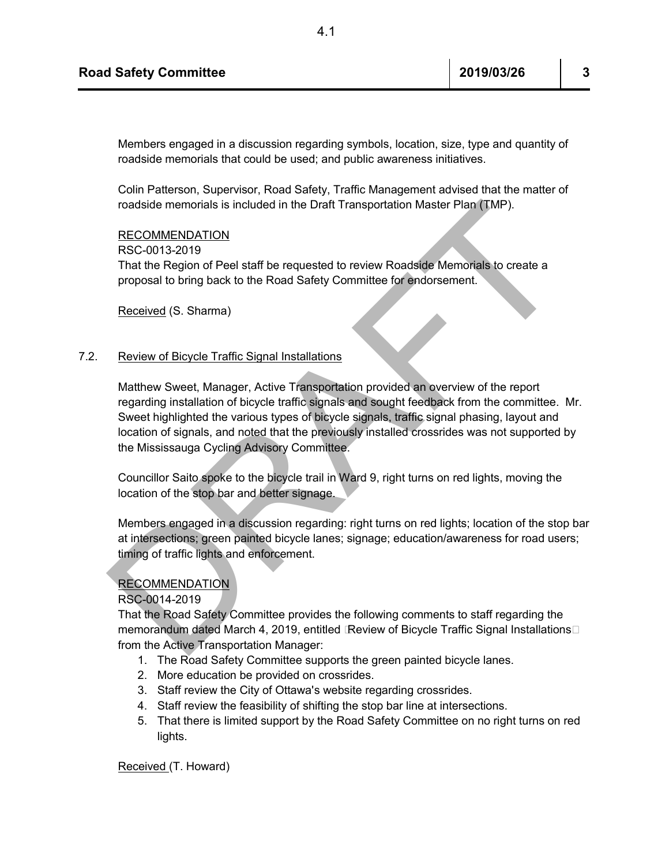Members engaged in a discussion regarding symbols, location, size, type and quantity of roadside memorials that could be used; and public awareness initiatives.

Colin Patterson, Supervisor, Road Safety, Traffic Management advised that the matter of roadside memorials is included in the Draft Transportation Master Plan (TMP).

#### RECOMMENDATION

RSC-0013-2019

That the Region of Peel staff be requested to review Roadside Memorials to create a proposal to bring back to the Road Safety Committee for endorsement.

Received (S. Sharma)

#### 7.2. Review of Bicycle Traffic Signal Installations

roadside memorials is included in the Draft Transportation Master Plan (TMP).<br>
RECOMMENDATION<br>
RECOMMENDATION<br>
That the Region of Peel staff be requested to review Roadskie Memorials to create a<br>
proposal to bring back to Matthew Sweet, Manager, Active Transportation provided an overview of the report regarding installation of bicycle traffic signals and sought feedback from the committee. Mr. Sweet highlighted the various types of bicycle signals, traffic signal phasing, layout and location of signals, and noted that the previously installed crossrides was not supported by the Mississauga Cycling Advisory Committee.

Councillor Saito spoke to the bicycle trail in Ward 9, right turns on red lights, moving the location of the stop bar and better signage.

Members engaged in a discussion regarding: right turns on red lights; location of the stop bar at intersections; green painted bicycle lanes; signage; education/awareness for road users; timing of traffic lights and enforcement.

#### RECOMMENDATION

#### RSC-0014-2019

That the Road Safety Committee provides the following comments to staff regarding the memorandum dated March 4, 2019, entitled Exeview of Bicycle Traffic Signal Installations from the Active Transportation Manager:

- 1. The Road Safety Committee supports the green painted bicycle lanes.
- 2. More education be provided on crossrides.
- 3. Staff review the City of Ottawa's website regarding crossrides.
- 4. Staff review the feasibility of shifting the stop bar line at intersections.
- 5. That there is limited support by the Road Safety Committee on no right turns on red lights.

Received (T. Howard)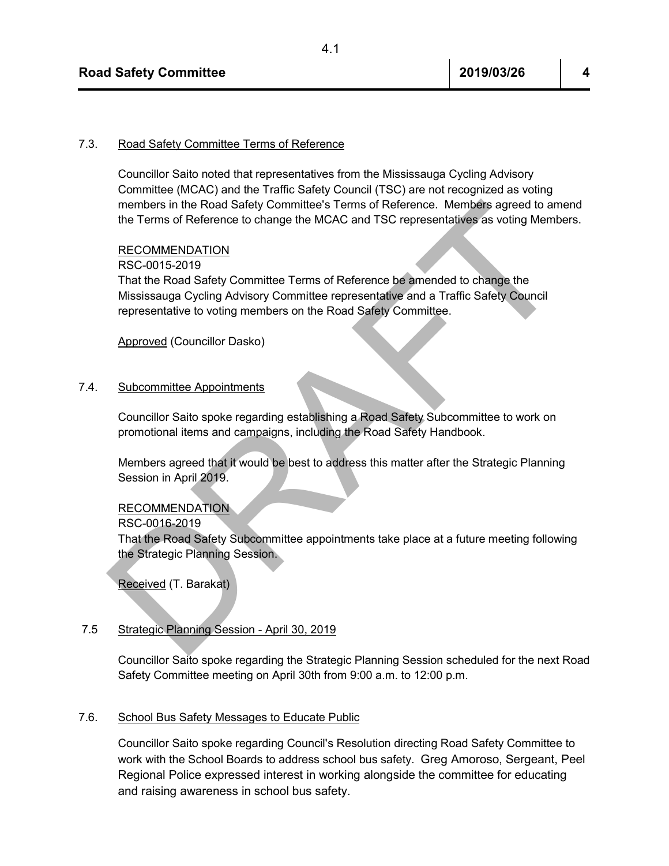# 7.3. Road Safety Committee Terms of Reference

Councillor Saito noted that representatives from the Mississauga Cycling Advisory Committee (MCAC) and the Traffic Safety Council (TSC) are not recognized as voting members in the Road Safety Committee's Terms of Reference. Members agreed to amend the Terms of Reference to change the MCAC and TSC representatives as voting Members.

#### RECOMMENDATION

#### RSC-0015-2019

members in the Road Safety Committee's Terms of Reference. Members agreed to amend<br>the Terms of Reference to change the MCAC and TSC representatives as voting Members.<br>RSC-0015-2019<br>That the Road Safety Committee Terms of That the Road Safety Committee Terms of Reference be amended to change the Mississauga Cycling Advisory Committee representative and a Traffic Safety Council representative to voting members on the Road Safety Committee.

Approved (Councillor Dasko)

#### 7.4. Subcommittee Appointments

Councillor Saito spoke regarding establishing a Road Safety Subcommittee to work on promotional items and campaigns, including the Road Safety Handbook.

Members agreed that it would be best to address this matter after the Strategic Planning Session in April 2019.

#### RECOMMENDATION

RSC-0016-2019

That the Road Safety Subcommittee appointments take place at a future meeting following the Strategic Planning Session.

Received (T. Barakat)

#### 7.5 Strategic Planning Session - April 30, 2019

Councillor Saito spoke regarding the Strategic Planning Session scheduled for the next Road Safety Committee meeting on April 30th from 9:00 a.m. to 12:00 p.m.

#### 7.6. School Bus Safety Messages to Educate Public

Councillor Saito spoke regarding Council's Resolution directing Road Safety Committee to work with the School Boards to address school bus safety. Greg Amoroso, Sergeant, Peel Regional Police expressed interest in working alongside the committee for educating and raising awareness in school bus safety.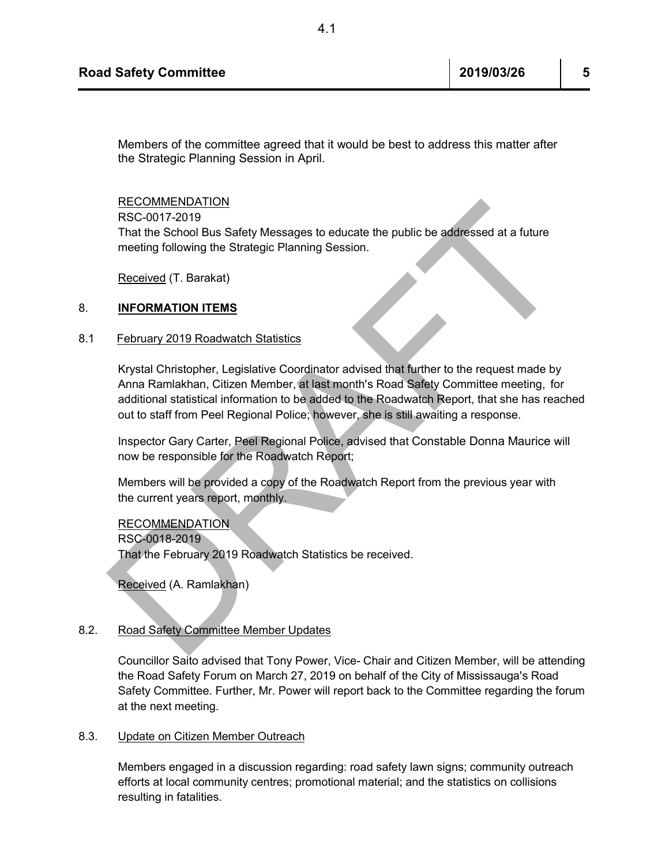Members of the committee agreed that it would be best to address this matter after the Strategic Planning Session in April.

RECOMMENDATION

RSC-0017-2019

That the School Bus Safety Messages to educate the public be addressed at a future meeting following the Strategic Planning Session.

Received (T. Barakat)

#### 8. **INFORMATION ITEMS**

#### 8.1 February 2019 Roadwatch Statistics

RECOMMENDATION<br>
REC-0017-2019<br>
That the School Bus Safety Messages to educate the public be addressed at a future<br>
meeting following the Strategic Planning Session.<br>
Received (T. Barakat)<br>
NFORMATION ITEMS<br>
February 2019 R Krystal Christopher, Legislative Coordinator advised that further to the request made by Anna Ramlakhan, Citizen Member, at last month's Road Safety Committee meeting, for additional statistical information to be added to the Roadwatch Report, that she has reached out to staff from Peel Regional Police; however, she is still awaiting a response.

Inspector Gary Carter, Peel Regional Police, advised that Constable Donna Maurice will now be responsible for the Roadwatch Report;

Members will be provided a copy of the Roadwatch Report from the previous year with the current years report, monthly.

RECOMMENDATION

RSC-0018-2019

That the February 2019 Roadwatch Statistics be received.

Received (A. Ramlakhan)

#### 8.2. Road Safety Committee Member Updates

Councillor Saito advised that Tony Power, Vice- Chair and Citizen Member, will be attending the Road Safety Forum on March 27, 2019 on behalf of the City of Mississauga's Road Safety Committee. Further, Mr. Power will report back to the Committee regarding the forum at the next meeting.

#### 8.3. Update on Citizen Member Outreach

Members engaged in a discussion regarding: road safety lawn signs; community outreach efforts at local community centres; promotional material; and the statistics on collisions resulting in fatalities.